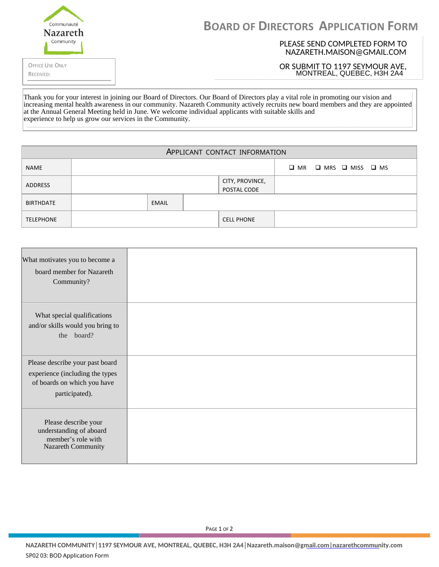| Communauté<br><b>Nazareth</b>       | <b>BOARD OF DIRECTORS APPLICATION FORM</b>                  |  |  |  |
|-------------------------------------|-------------------------------------------------------------|--|--|--|
| Communitv                           | PLEASE SEND COMPLETED FORM TO<br>NAZARETH.MAISON@GMAIL.COM  |  |  |  |
| <b>OFFICE USE ONLY</b><br>RECEIVED: | OR SUBMIT TO 1197 SEYMOUR AVE,<br>MONTREAL, QUEBEC, H3H 2A4 |  |  |  |
|                                     |                                                             |  |  |  |

increasing mental health awareness in our community. Nazareth Community actively recruits new board members and they are appointed at the Annual General Meeting held in June. We welcome individual applicants with suitable skills and Thank you for your interest in joining our Board of Directors. Our Board of Directors play a vital role in promoting our vision and experience to help us grow our services in the Community.

| APPLICANT CONTACT INFORMATION |  |       |                                |                                 |  |
|-------------------------------|--|-------|--------------------------------|---------------------------------|--|
| <b>NAME</b>                   |  |       |                                | MRS<br>MISS<br>МR<br><b>IMS</b> |  |
| <b>ADDRESS</b>                |  |       | CITY, PROVINCE,<br>POSTAL CODE |                                 |  |
| <b>BIRTHDATE</b>              |  | EMAIL |                                |                                 |  |
| <b>TELEPHONE</b>              |  |       |                                | <b>CELL PHONE</b>               |  |

| What motivates you to become a<br>board member for Nazareth<br>Community?                                           |  |
|---------------------------------------------------------------------------------------------------------------------|--|
| What special qualifications<br>and/or skills would you bring to<br>the board?                                       |  |
| Please describe your past board<br>experience (including the types<br>of boards on which you have<br>participated). |  |
| Please describe your<br>understanding of aboard<br>member's role with<br>Nazareth Community                         |  |